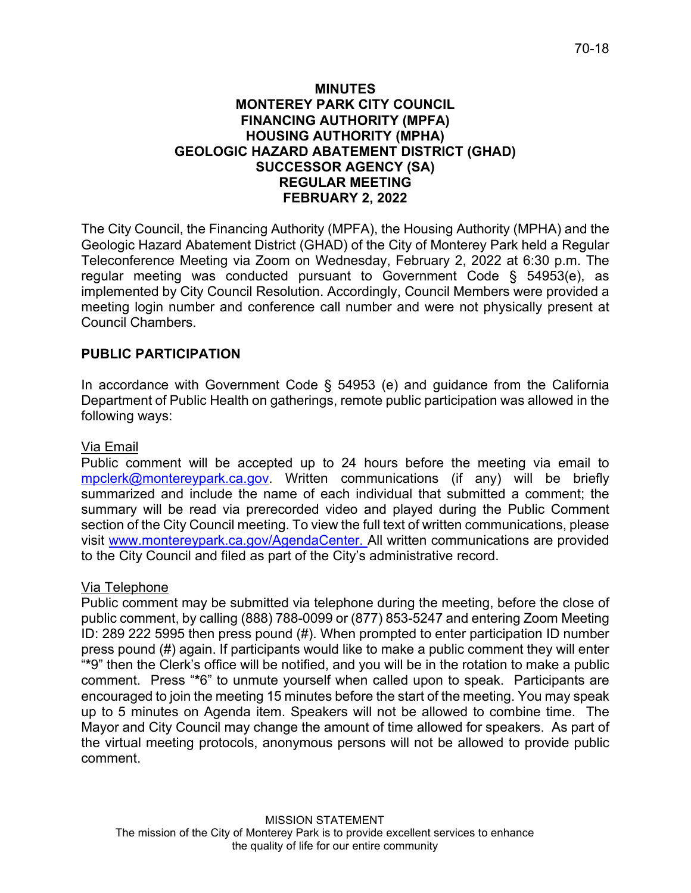### **MINUTES MONTEREY PARK CITY COUNCIL FINANCING AUTHORITY (MPFA) HOUSING AUTHORITY (MPHA) GEOLOGIC HAZARD ABATEMENT DISTRICT (GHAD) SUCCESSOR AGENCY (SA) REGULAR MEETING FEBRUARY 2, 2022**

The City Council, the Financing Authority (MPFA), the Housing Authority (MPHA) and the Geologic Hazard Abatement District (GHAD) of the City of Monterey Park held a Regular Teleconference Meeting via Zoom on Wednesday, February 2, 2022 at 6:30 p.m. The regular meeting was conducted pursuant to Government Code § 54953(e), as implemented by City Council Resolution. Accordingly, Council Members were provided a meeting login number and conference call number and were not physically present at Council Chambers.

# **PUBLIC PARTICIPATION**

In accordance with Government Code § 54953 (e) and guidance from the California Department of Public Health on gatherings, remote public participation was allowed in the following ways:

# Via Email

Public comment will be accepted up to 24 hours before the meeting via email to [mpclerk@montereypark.ca.gov.](mailto:mpclerk@montereypark.ca.gov) Written communications (if any) will be briefly summarized and include the name of each individual that submitted a comment; the summary will be read via prerecorded video and played during the Public Comment section of the City Council meeting. To view the full text of written communications, please visit [www.montereypark.ca.gov/AgendaCenter.](http://www.montereypark.ca.gov/AgendaCenter) All written communications are provided to the City Council and filed as part of the City's administrative record.

# Via Telephone

Public comment may be submitted via telephone during the meeting, before the close of public comment, by calling (888) 788-0099 or (877) 853-5247 and entering Zoom Meeting ID: 289 222 5995 then press pound (#). When prompted to enter participation ID number press pound (#) again. If participants would like to make a public comment they will enter "**\***9" then the Clerk's office will be notified, and you will be in the rotation to make a public comment. Press "**\***6" to unmute yourself when called upon to speak. Participants are encouraged to join the meeting 15 minutes before the start of the meeting. You may speak up to 5 minutes on Agenda item. Speakers will not be allowed to combine time. The Mayor and City Council may change the amount of time allowed for speakers. As part of the virtual meeting protocols, anonymous persons will not be allowed to provide public comment.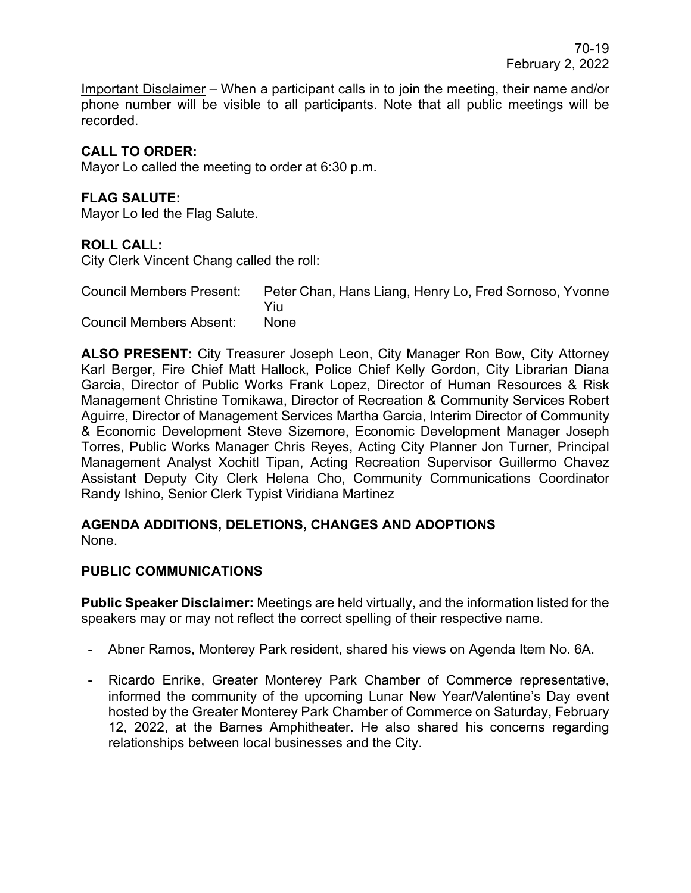Important Disclaimer – When a participant calls in to join the meeting, their name and/or phone number will be visible to all participants. Note that all public meetings will be recorded.

# **CALL TO ORDER:**

Mayor Lo called the meeting to order at 6:30 p.m.

# **FLAG SALUTE:**

Mayor Lo led the Flag Salute.

# **ROLL CALL:**

City Clerk Vincent Chang called the roll:

Council Members Present: Peter Chan, Hans Liang, Henry Lo, Fred Sornoso, Yvonne Yiu Council Members Absent: None

**ALSO PRESENT:** City Treasurer Joseph Leon, City Manager Ron Bow, City Attorney Karl Berger, Fire Chief Matt Hallock, Police Chief Kelly Gordon, City Librarian Diana Garcia, Director of Public Works Frank Lopez, Director of Human Resources & Risk Management Christine Tomikawa, Director of Recreation & Community Services Robert Aguirre, Director of Management Services Martha Garcia, Interim Director of Community & Economic Development Steve Sizemore, Economic Development Manager Joseph Torres, Public Works Manager Chris Reyes, Acting City Planner Jon Turner, Principal Management Analyst Xochitl Tipan, Acting Recreation Supervisor Guillermo Chavez Assistant Deputy City Clerk Helena Cho, Community Communications Coordinator Randy Ishino, Senior Clerk Typist Viridiana Martinez

#### **AGENDA ADDITIONS, DELETIONS, CHANGES AND ADOPTIONS** None.

# **PUBLIC COMMUNICATIONS**

**Public Speaker Disclaimer:** Meetings are held virtually, and the information listed for the speakers may or may not reflect the correct spelling of their respective name.

- Abner Ramos, Monterey Park resident, shared his views on Agenda Item No. 6A.
- Ricardo Enrike, Greater Monterey Park Chamber of Commerce representative, informed the community of the upcoming Lunar New Year/Valentine's Day event hosted by the Greater Monterey Park Chamber of Commerce on Saturday, February 12, 2022, at the Barnes Amphitheater. He also shared his concerns regarding relationships between local businesses and the City.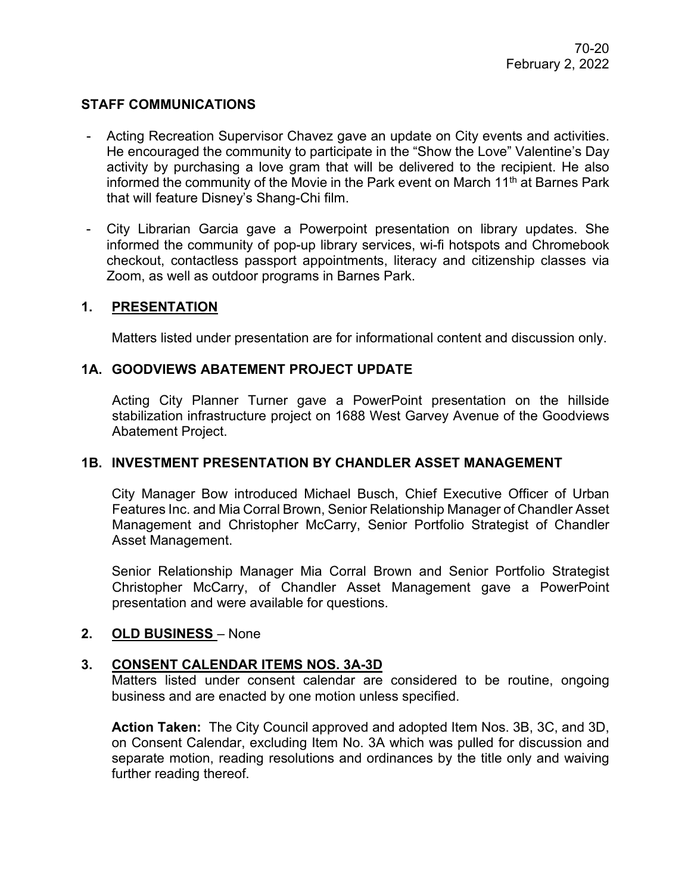# **STAFF COMMUNICATIONS**

- Acting Recreation Supervisor Chavez gave an update on City events and activities. He encouraged the community to participate in the "Show the Love" Valentine's Day activity by purchasing a love gram that will be delivered to the recipient. He also informed the community of the Movie in the Park event on March  $11<sup>th</sup>$  at Barnes Park that will feature Disney's Shang-Chi film.
- City Librarian Garcia gave a Powerpoint presentation on library updates. She informed the community of pop-up library services, wi-fi hotspots and Chromebook checkout, contactless passport appointments, literacy and citizenship classes via Zoom, as well as outdoor programs in Barnes Park.

# **1. PRESENTATION**

Matters listed under presentation are for informational content and discussion only.

### **1A. GOODVIEWS ABATEMENT PROJECT UPDATE**

Acting City Planner Turner gave a PowerPoint presentation on the hillside stabilization infrastructure project on 1688 West Garvey Avenue of the Goodviews Abatement Project.

#### **1B. INVESTMENT PRESENTATION BY CHANDLER ASSET MANAGEMENT**

City Manager Bow introduced Michael Busch, Chief Executive Officer of Urban Features Inc. and Mia Corral Brown, Senior Relationship Manager of Chandler Asset Management and Christopher McCarry, Senior Portfolio Strategist of Chandler Asset Management.

Senior Relationship Manager Mia Corral Brown and Senior Portfolio Strategist Christopher McCarry, of Chandler Asset Management gave a PowerPoint presentation and were available for questions.

# **2. OLD BUSINESS** – None

# **3. CONSENT CALENDAR ITEMS NOS. 3A-3D**

Matters listed under consent calendar are considered to be routine, ongoing business and are enacted by one motion unless specified.

**Action Taken:** The City Council approved and adopted Item Nos. 3B, 3C, and 3D, on Consent Calendar, excluding Item No. 3A which was pulled for discussion and separate motion, reading resolutions and ordinances by the title only and waiving further reading thereof.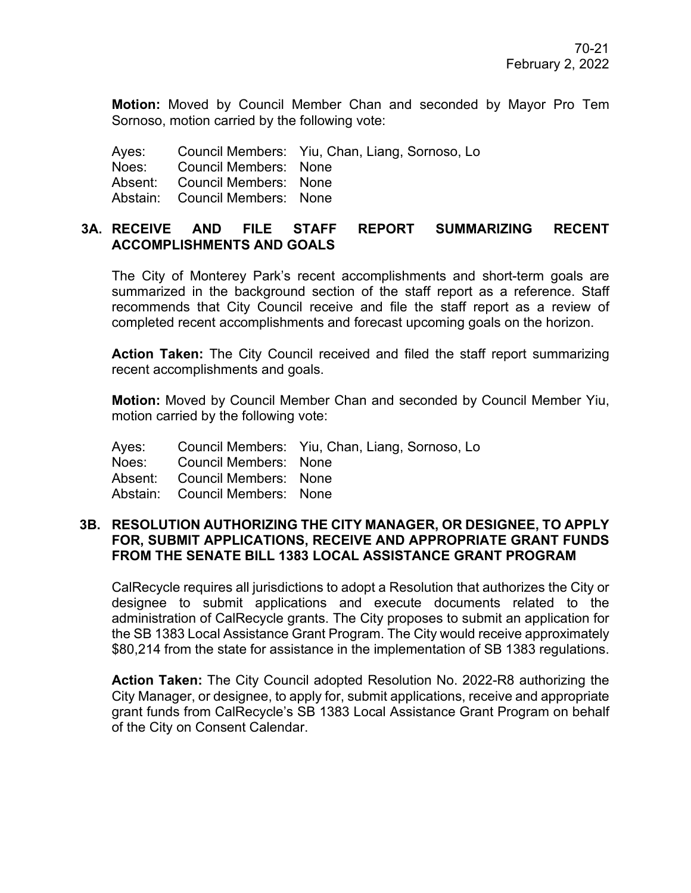**Motion:** Moved by Council Member Chan and seconded by Mayor Pro Tem Sornoso, motion carried by the following vote:

Ayes: Council Members: Yiu, Chan, Liang, Sornoso, Lo

Noes: Council Members: None Absent: Council Members: None

Abstain: Council Members: None

### **3A. RECEIVE AND FILE STAFF REPORT SUMMARIZING RECENT ACCOMPLISHMENTS AND GOALS**

The City of Monterey Park's recent accomplishments and short-term goals are summarized in the background section of the staff report as a reference. Staff recommends that City Council receive and file the staff report as a review of completed recent accomplishments and forecast upcoming goals on the horizon.

**Action Taken:** The City Council received and filed the staff report summarizing recent accomplishments and goals.

**Motion:** Moved by Council Member Chan and seconded by Council Member Yiu, motion carried by the following vote:

Ayes: Council Members: Yiu, Chan, Liang, Sornoso, Lo

Noes: Council Members: None

Absent: Council Members: None

Abstain: Council Members: None

### **3B. RESOLUTION AUTHORIZING THE CITY MANAGER, OR DESIGNEE, TO APPLY FOR, SUBMIT APPLICATIONS, RECEIVE AND APPROPRIATE GRANT FUNDS FROM THE SENATE BILL 1383 LOCAL ASSISTANCE GRANT PROGRAM**

CalRecycle requires all jurisdictions to adopt a Resolution that authorizes the City or designee to submit applications and execute documents related to the administration of CalRecycle grants. The City proposes to submit an application for the SB 1383 Local Assistance Grant Program. The City would receive approximately \$80,214 from the state for assistance in the implementation of SB 1383 regulations.

**Action Taken:** The City Council adopted Resolution No. 2022-R8 authorizing the City Manager, or designee, to apply for, submit applications, receive and appropriate grant funds from CalRecycle's SB 1383 Local Assistance Grant Program on behalf of the City on Consent Calendar.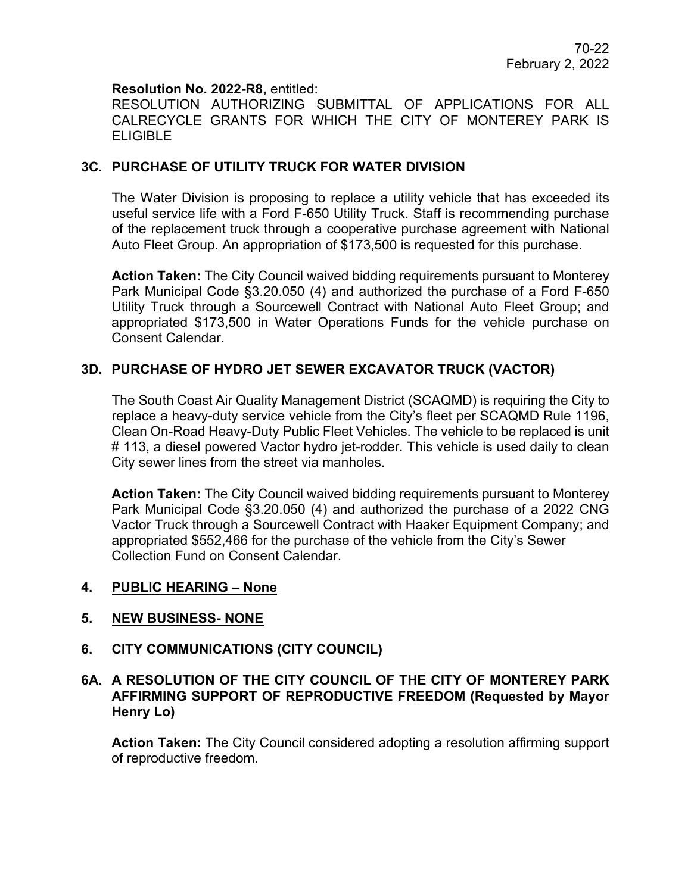### **Resolution No. 2022-R8,** entitled:

RESOLUTION AUTHORIZING SUBMITTAL OF APPLICATIONS FOR ALL CALRECYCLE GRANTS FOR WHICH THE CITY OF MONTEREY PARK IS ELIGIBLE

# **3C. PURCHASE OF UTILITY TRUCK FOR WATER DIVISION**

The Water Division is proposing to replace a utility vehicle that has exceeded its useful service life with a Ford F-650 Utility Truck. Staff is recommending purchase of the replacement truck through a cooperative purchase agreement with National Auto Fleet Group. An appropriation of \$173,500 is requested for this purchase.

**Action Taken:** The City Council waived bidding requirements pursuant to Monterey Park Municipal Code §3.20.050 (4) and authorized the purchase of a Ford F-650 Utility Truck through a Sourcewell Contract with National Auto Fleet Group; and appropriated \$173,500 in Water Operations Funds for the vehicle purchase on Consent Calendar.

# **3D. PURCHASE OF HYDRO JET SEWER EXCAVATOR TRUCK (VACTOR)**

The South Coast Air Quality Management District (SCAQMD) is requiring the City to replace a heavy-duty service vehicle from the City's fleet per SCAQMD Rule 1196, Clean On-Road Heavy-Duty Public Fleet Vehicles. The vehicle to be replaced is unit # 113, a diesel powered Vactor hydro jet-rodder. This vehicle is used daily to clean City sewer lines from the street via manholes.

**Action Taken:** The City Council waived bidding requirements pursuant to Monterey Park Municipal Code §3.20.050 (4) and authorized the purchase of a 2022 CNG Vactor Truck through a Sourcewell Contract with Haaker Equipment Company; and appropriated \$552,466 for the purchase of the vehicle from the City's Sewer Collection Fund on Consent Calendar.

#### **4. PUBLIC HEARING – None**

# **5. NEW BUSINESS- NONE**

#### **6. CITY COMMUNICATIONS (CITY COUNCIL)**

# **6A. A RESOLUTION OF THE CITY COUNCIL OF THE CITY OF MONTEREY PARK AFFIRMING SUPPORT OF REPRODUCTIVE FREEDOM (Requested by Mayor Henry Lo)**

**Action Taken:** The City Council considered adopting a resolution affirming support of reproductive freedom.